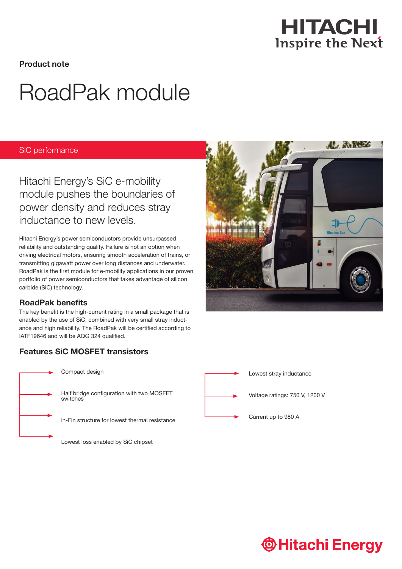

Product note

# RoadPak module

### SiC performance

Hitachi Energy's SiC e-mobility module pushes the boundaries of power density and reduces stray inductance to new levels.

Hitachi Energy's power semiconductors provide unsurpassed reliability and outstanding quality. Failure is not an option when driving electrical motors, ensuring smooth acceleration of trains, or transmitting gigawatt power over long distances and underwater. RoadPak is the first module for e-mobility applications in our proven portfolio of power semiconductors that takes advantage of silicon carbide (SiC) technology.

## RoadPak benefits

The key benefit is the high-current rating in a small package that is enabled by the use of SiC, combined with very small stray inductance and high reliability. The RoadPak will be certified according to IATF19646 and will be AQG 324 qualified.

## Features SiC MOSFET transistors



Compact design

Half bridge configuration with two MOSFET switches

in-Fin structure for lowest thermal resistance

Lowest loss enabled by SiC chipset